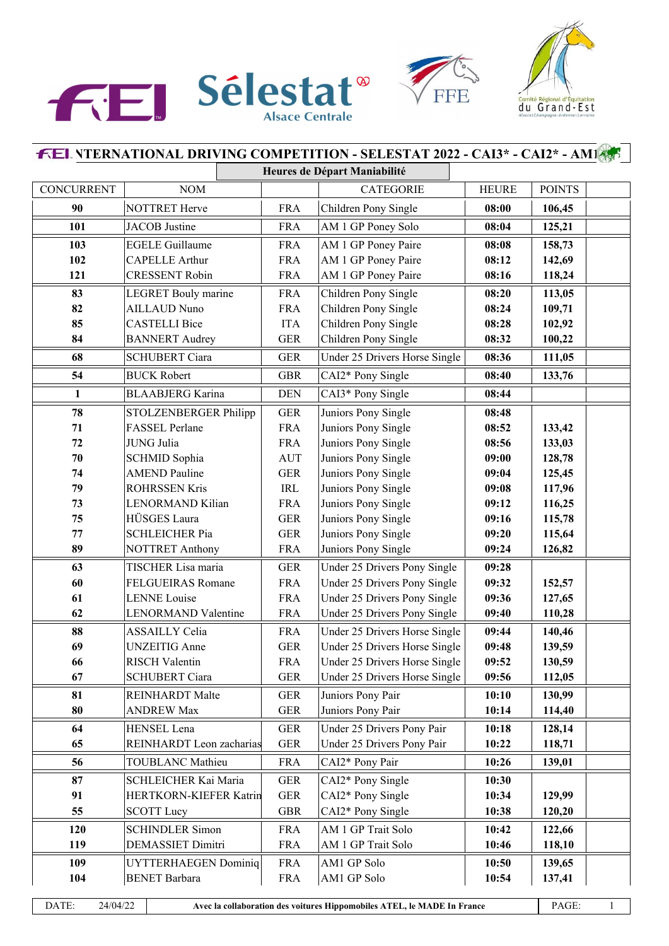





## **INTERNATIONAL DRIVING COMPETITION - SELESTAT 2022 - CAI3\* - CAI2\* - AM1 Heures de Départ Maniabilité** CONCURRENT NOM CATEGORIE HEURE POINTS **NOTTRET Herve FRA** Children Pony Single **08:00 106,45**  JACOB Justine FRA AM 1 GP Poney Solo **08:04 125,21** EGELE Guillaume FRA AM 1 GP Poney Paire **08:08 158,73**

| DATE:        | 24/04/22<br>Avec la collaboration des voitures Hippomobiles ATEL, le MADE In France |                                                   |                          |                                              | PAGE:          | $\mathbf{1}$     |  |
|--------------|-------------------------------------------------------------------------------------|---------------------------------------------------|--------------------------|----------------------------------------------|----------------|------------------|--|
|              |                                                                                     |                                                   |                          |                                              |                |                  |  |
| 104          |                                                                                     | <b>BENET Barbara</b>                              | <b>FRA</b><br><b>FRA</b> | AM1 GP Solo                                  | 10:54          | 137,41           |  |
| 109          |                                                                                     | <b>UYTTERHAEGEN Dominiq</b>                       |                          | AM1 GP Solo                                  | 10:50          | 139,65           |  |
| 119          |                                                                                     | <b>DEMASSIET Dimitri</b>                          | <b>FRA</b>               | AM 1 GP Trait Solo                           | 10:46          | 118,10           |  |
| 120          |                                                                                     | <b>SCHINDLER Simon</b>                            | <b>GBR</b><br><b>FRA</b> | AM 1 GP Trait Solo                           | 10:42          | 122,66           |  |
| 55           |                                                                                     | <b>SCOTT Lucy</b>                                 |                          | CAI2* Pony Single                            | 10:38          | 120,20           |  |
| 91           |                                                                                     | HERTKORN-KIEFER Katrin                            |                          | CAI2* Pony Single                            | 10:34          | 129,99           |  |
| 87           |                                                                                     | SCHLEICHER Kai Maria                              |                          | CAI2* Pony Single                            | 10:30          |                  |  |
| 56           |                                                                                     | <b>TOUBLANC Mathieu</b>                           | <b>FRA</b>               | CAI2* Pony Pair                              | 10:26          | 139,01           |  |
| 65           |                                                                                     | REINHARDT Leon zacharias                          | <b>GER</b>               | Under 25 Drivers Pony Pair                   | 10:22          | 118,71           |  |
| 64           |                                                                                     | HENSEL Lena                                       | <b>GER</b>               | Under 25 Drivers Pony Pair                   | 10:18          | 128,14           |  |
| 80           |                                                                                     | <b>ANDREW Max</b>                                 | <b>GER</b><br><b>GER</b> | Juniors Pony Pair                            | 10:14          | 114,40           |  |
| 81           |                                                                                     | <b>REINHARDT</b> Malte                            |                          | Juniors Pony Pair                            | 10:10          | 130,99           |  |
| 67           |                                                                                     | <b>SCHUBERT Ciara</b>                             | <b>GER</b>               | Under 25 Drivers Horse Single                | 09:56          | 112,05           |  |
| 66           |                                                                                     | <b>RISCH Valentin</b>                             |                          | Under 25 Drivers Horse Single                | 09:52          | 130,59           |  |
| 69           |                                                                                     | <b>UNZEITIG</b> Anne                              | <b>FRA</b><br><b>GER</b> | Under 25 Drivers Horse Single                | 09:48          | 139,59           |  |
| 88           |                                                                                     | <b>ASSAILLY Celia</b>                             |                          | Under 25 Drivers Horse Single                | 09:44          | 140,46           |  |
| 62           |                                                                                     | LENORMAND Valentine                               | <b>FRA</b>               | Under 25 Drivers Pony Single                 | 09:40          | 110,28           |  |
| 61           |                                                                                     | <b>LENNE</b> Louise                               | <b>FRA</b>               | Under 25 Drivers Pony Single                 | 09:36          | 127,65           |  |
| 60           |                                                                                     | <b>FELGUEIRAS Romane</b>                          | <b>GER</b><br><b>FRA</b> | Under 25 Drivers Pony Single                 | 09:32          | 152,57           |  |
| 63           |                                                                                     | TISCHER Lisa maria                                |                          | Under 25 Drivers Pony Single                 | 09:28          |                  |  |
| 89           |                                                                                     | <b>NOTTRET Anthony</b>                            |                          | Juniors Pony Single                          | 09:24          | 126,82           |  |
| 77           |                                                                                     | <b>SCHLEICHER Pia</b>                             | <b>GER</b><br><b>GER</b> | Juniors Pony Single                          | 09:20          | 115,64           |  |
| 75           |                                                                                     | HÜSGES Laura                                      |                          | Juniors Pony Single                          | 09:16          | 115,78           |  |
| 73           |                                                                                     | <b>LENORMAND Kilian</b>                           | <b>FRA</b>               | Juniors Pony Single                          | 09:12          | 116,25           |  |
| 79           |                                                                                     | <b>ROHRSSEN Kris</b>                              | IRL                      | Juniors Pony Single                          | 09:08          | 117,96           |  |
| 74           |                                                                                     | SCHMID Sophia<br><b>AMEND Pauline</b>             | <b>GER</b>               | Juniors Pony Single                          | 09:04          | 128,78<br>125,45 |  |
| 72<br>70     |                                                                                     | JUNG Julia                                        | <b>FRA</b><br><b>AUT</b> | Juniors Pony Single<br>Juniors Pony Single   | 08:56<br>09:00 | 133,03           |  |
| 71           |                                                                                     | FASSEL Perlane                                    | <b>FRA</b>               | Juniors Pony Single                          | 08:52          | 133,42           |  |
| 78           |                                                                                     | STOLZENBERGER Philipp                             | <b>GER</b>               | Juniors Pony Single                          | 08:48          |                  |  |
| $\mathbf{1}$ |                                                                                     | <b>BLAABJERG</b> Karina                           | <b>DEN</b>               | CAI3* Pony Single                            | 08:44          |                  |  |
| 54           |                                                                                     | <b>BUCK Robert</b>                                | <b>GBR</b>               | CAI2* Pony Single                            | 08:40          | 133,76           |  |
|              |                                                                                     |                                                   | <b>GER</b>               |                                              |                | 111,05           |  |
| 68           |                                                                                     | <b>SCHUBERT Ciara</b>                             |                          | Under 25 Drivers Horse Single                | 08:36          |                  |  |
| 84           |                                                                                     | <b>BANNERT</b> Audrey                             | <b>GER</b>               | Children Pony Single<br>Children Pony Single | 08:28<br>08:32 | 102,92<br>100,22 |  |
| 85           |                                                                                     | <b>CASTELLI Bice</b>                              | <b>FRA</b><br><b>ITA</b> | Children Pony Single                         | 08:24          | 109,71           |  |
| 83<br>82     |                                                                                     | <b>LEGRET</b> Bouly marine<br><b>AILLAUD Nuno</b> |                          | Children Pony Single                         | 08:20          | 113,05           |  |
| 121          |                                                                                     | <b>CRESSENT Robin</b>                             |                          | AM 1 GP Poney Paire                          | 08:16          | 118,24           |  |
| 102          |                                                                                     | <b>CAPELLE Arthur</b>                             |                          | AM 1 GP Poney Paire                          | 08:12          | 142,69           |  |
| 103          |                                                                                     | <b>EGELE Guillaume</b>                            |                          | AM 1 GP Poney Paire                          | 08:08          | 158,73           |  |
| 1 V 1        |                                                                                     | JACOD JUSTIN                                      |                          | $A$ <sub>IVI</sub> T OI TUILY 5010           | VO.VT          | 149,41           |  |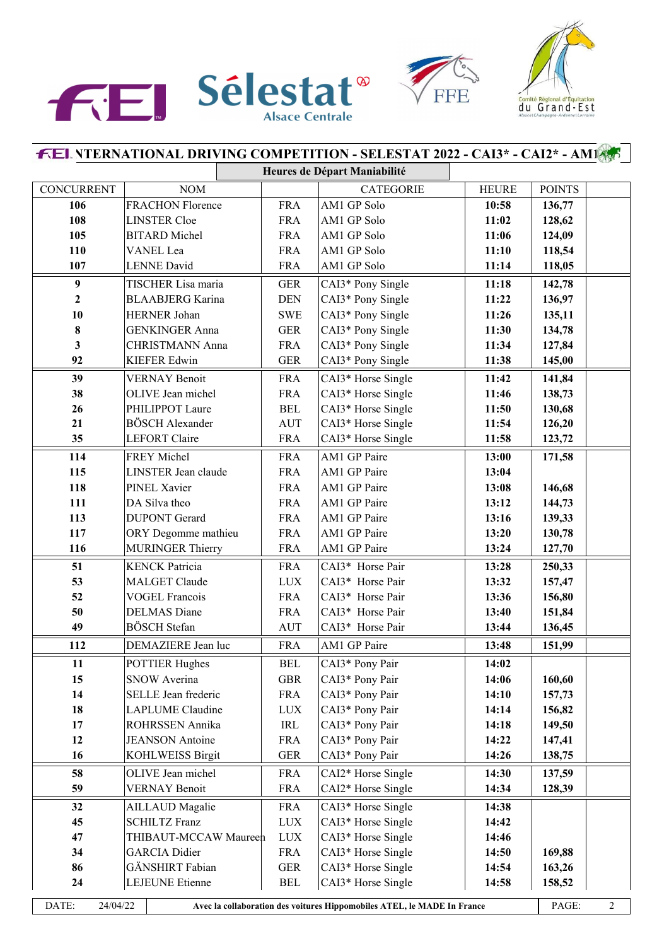





|                   |                         |                         |                                                                         | <b>FEL VTERNATIONAL DRIVING COMPETITION - SELESTAT 2022 - CAI3* - CAI2* - AM1455</b> |              |               |  |
|-------------------|-------------------------|-------------------------|-------------------------------------------------------------------------|--------------------------------------------------------------------------------------|--------------|---------------|--|
|                   |                         |                         |                                                                         | Heures de Départ Maniabilité                                                         |              |               |  |
| <b>CONCURRENT</b> | <b>NOM</b>              |                         |                                                                         | <b>CATEGORIE</b>                                                                     | <b>HEURE</b> | <b>POINTS</b> |  |
| 106               |                         | <b>FRACHON Florence</b> |                                                                         | AM1 GP Solo                                                                          | 10:58        | 136,77        |  |
| 108               | <b>LINSTER Cloe</b>     |                         |                                                                         | AM1 GP Solo                                                                          | 11:02        | 128,62        |  |
| 105               |                         | <b>BITARD</b> Michel    |                                                                         | AM1 GP Solo                                                                          | 11:06        | 124,09        |  |
| 110               | VANEL Lea               |                         | <b>FRA</b>                                                              | AM1 GP Solo                                                                          | 11:10        | 118,54        |  |
| 107               | <b>LENNE</b> David      |                         | <b>FRA</b>                                                              | AM1 GP Solo                                                                          | 11:14        | 118,05        |  |
| $\boldsymbol{9}$  | TISCHER Lisa maria      |                         | <b>GER</b>                                                              | CAI3* Pony Single                                                                    | 11:18        | 142,78        |  |
| $\overline{2}$    | <b>BLAABJERG</b> Karina |                         | <b>DEN</b>                                                              | CAI3* Pony Single                                                                    | 11:22        | 136,97        |  |
| 10                | HERNER Johan            |                         | <b>SWE</b>                                                              | CAI3* Pony Single                                                                    | 11:26        | 135,11        |  |
| 8                 | <b>GENKINGER Anna</b>   |                         | <b>GER</b>                                                              | CAI3* Pony Single                                                                    | 11:30        | 134,78        |  |
| 3                 | CHRISTMANN Anna         |                         | <b>FRA</b>                                                              | CAI3* Pony Single                                                                    | 11:34        | 127,84        |  |
| 92                | <b>KIEFER Edwin</b>     |                         | <b>GER</b>                                                              | CAI3* Pony Single                                                                    | 11:38        | 145,00        |  |
| 39                | <b>VERNAY Benoit</b>    |                         | <b>FRA</b>                                                              | CAI3* Horse Single                                                                   | 11:42        | 141,84        |  |
| 38                | OLIVE Jean michel       |                         | <b>FRA</b>                                                              | CAI3* Horse Single                                                                   | 11:46        | 138,73        |  |
| 26                | PHILIPPOT Laure         |                         | <b>BEL</b>                                                              | CAI3* Horse Single                                                                   | 11:50        | 130,68        |  |
| 21                | <b>BÖSCH</b> Alexander  |                         | <b>AUT</b>                                                              | CAI3* Horse Single                                                                   | 11:54        | 126,20        |  |
| 35                | LEFORT Claire           |                         | <b>FRA</b>                                                              | CAI3* Horse Single                                                                   | 11:58        | 123,72        |  |
| 114               | FREY Michel             |                         | <b>FRA</b>                                                              | AM1 GP Paire                                                                         | 13:00        | 171,58        |  |
| 115               | LINSTER Jean claude     |                         | <b>FRA</b>                                                              | AM1 GP Paire                                                                         | 13:04        |               |  |
| 118               | PINEL Xavier            |                         | <b>FRA</b>                                                              | AM1 GP Paire                                                                         | 13:08        | 146,68        |  |
| 111               | DA Silva theo           |                         | <b>FRA</b>                                                              | AM1 GP Paire                                                                         | 13:12        | 144,73        |  |
| 113               | <b>DUPONT</b> Gerard    |                         | <b>FRA</b>                                                              | AM1 GP Paire                                                                         | 13:16        | 139,33        |  |
| 117               | ORY Degomme mathieu     |                         | <b>FRA</b>                                                              | AM1 GP Paire                                                                         | 13:20        | 130,78        |  |
| 116               | <b>MURINGER Thierry</b> |                         | <b>FRA</b>                                                              | AM1 GP Paire                                                                         | 13:24        | 127,70        |  |
| 51                | <b>KENCK Patricia</b>   |                         | <b>FRA</b>                                                              | CAI3* Horse Pair                                                                     | 13:28        | 250,33        |  |
| 53                | <b>MALGET Claude</b>    |                         | <b>LUX</b>                                                              | CAI3* Horse Pair                                                                     | 13:32        | 157,47        |  |
| 52                | <b>VOGEL Francois</b>   |                         | <b>FRA</b>                                                              | CAI3* Horse Pair                                                                     | 13:36        | 156,80        |  |
| 50                | <b>DELMAS</b> Diane     |                         | <b>FRA</b>                                                              | CAI3* Horse Pair                                                                     | 13:40        | 151,84        |  |
| 49                | <b>BÖSCH</b> Stefan     |                         | <b>AUT</b>                                                              | CAI3* Horse Pair                                                                     | 13:44        | 136,45        |  |
| 112               | DEMAZIERE Jean luc      |                         | <b>FRA</b>                                                              | AM1 GP Paire                                                                         | 13:48        | 151,99        |  |
| 11                | <b>POTTIER Hughes</b>   |                         | <b>BEL</b>                                                              | CAI3* Pony Pair                                                                      | 14:02        |               |  |
| 15                | <b>SNOW Averina</b>     |                         | <b>GBR</b>                                                              | CAI3* Pony Pair                                                                      | 14:06        | 160,60        |  |
| 14                | SELLE Jean frederic     |                         | <b>FRA</b>                                                              | CAI3* Pony Pair                                                                      | 14:10        | 157,73        |  |
| 18                | <b>LAPLUME</b> Claudine |                         | <b>LUX</b>                                                              | CAI3* Pony Pair                                                                      | 14:14        | 156,82        |  |
| 17                | ROHRSSEN Annika         |                         | IRL                                                                     | CAI3* Pony Pair                                                                      | 14:18        | 149,50        |  |
| 12                | <b>JEANSON</b> Antoine  |                         | <b>FRA</b>                                                              | CAI3* Pony Pair                                                                      | 14:22        | 147,41        |  |
| 16                | <b>KOHLWEISS Birgit</b> |                         | <b>GER</b>                                                              | CAI3* Pony Pair                                                                      | 14:26        | 138,75        |  |
| 58                | OLIVE Jean michel       |                         | <b>FRA</b>                                                              | CAI2* Horse Single                                                                   | 14:30        | 137,59        |  |
| 59                | <b>VERNAY Benoit</b>    |                         | <b>FRA</b>                                                              | CAI2* Horse Single                                                                   | 14:34        | 128,39        |  |
| 32                | AILLAUD Magalie         |                         | <b>FRA</b>                                                              | CAI3* Horse Single                                                                   | 14:38        |               |  |
| 45                | <b>SCHILTZ Franz</b>    |                         | <b>LUX</b>                                                              | CAI3* Horse Single                                                                   | 14:42        |               |  |
| 47                | THIBAUT-MCCAW Maureen   |                         | <b>LUX</b>                                                              | CAI3* Horse Single                                                                   | 14:46        |               |  |
| 34                | <b>GARCIA</b> Didier    |                         | <b>FRA</b>                                                              | CAI3* Horse Single                                                                   | 14:50        | 169,88        |  |
| 86                | GÄNSHIRT Fabian         |                         | <b>GER</b>                                                              | CAI3* Horse Single                                                                   | 14:54        | 163,26        |  |
| 24                | <b>LEJEUNE</b> Etienne  |                         | <b>BEL</b>                                                              | CAI3* Horse Single                                                                   | 14:58        | 158,52        |  |
| DATE:             | 24/04/22                |                         | Avec la collaboration des voitures Hippomobiles ATEL, le MADE In France |                                                                                      | PAGE:        | 2             |  |